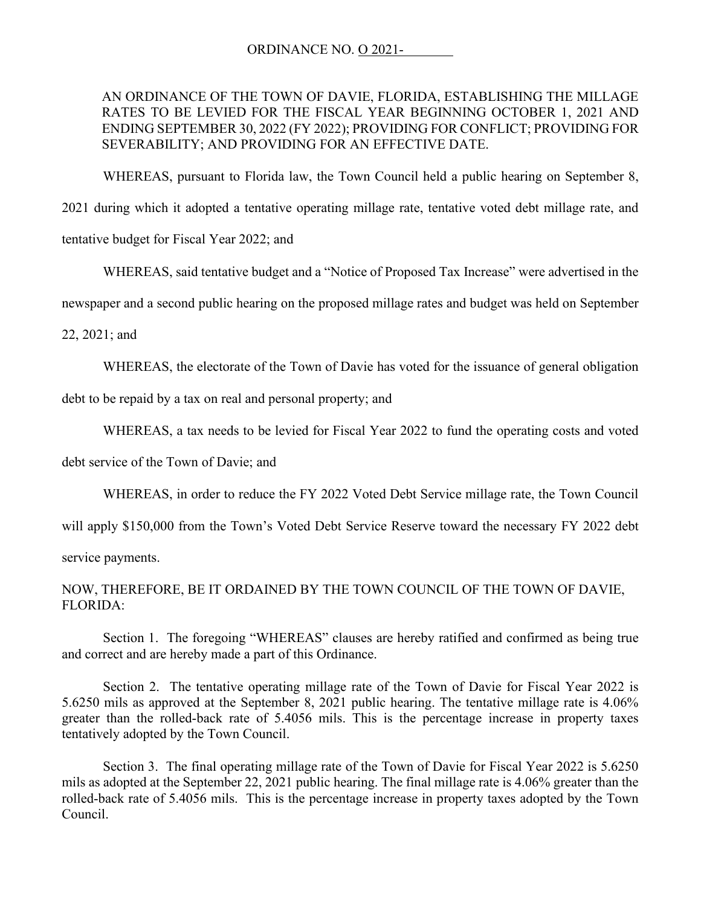## AN ORDINANCE OF THE TOWN OF DAVIE, FLORIDA, ESTABLISHING THE MILLAGE RATES TO BE LEVIED FOR THE FISCAL YEAR BEGINNING OCTOBER 1, 2021 AND ENDING SEPTEMBER 30, 2022 (FY 2022); PROVIDING FOR CONFLICT; PROVIDING FOR SEVERABILITY; AND PROVIDING FOR AN EFFECTIVE DATE.

WHEREAS, pursuant to Florida law, the Town Council held a public hearing on September 8,

2021 during which it adopted a tentative operating millage rate, tentative voted debt millage rate, and tentative budget for Fiscal Year 2022; and

WHEREAS, said tentative budget and a "Notice of Proposed Tax Increase" were advertised in the

newspaper and a second public hearing on the proposed millage rates and budget was held on September

22, 2021; and

WHEREAS, the electorate of the Town of Davie has voted for the issuance of general obligation

debt to be repaid by a tax on real and personal property; and

WHEREAS, a tax needs to be levied for Fiscal Year 2022 to fund the operating costs and voted

debt service of the Town of Davie; and

WHEREAS, in order to reduce the FY 2022 Voted Debt Service millage rate, the Town Council

will apply \$150,000 from the Town's Voted Debt Service Reserve toward the necessary FY 2022 debt

service payments.

## NOW, THEREFORE, BE IT ORDAINED BY THE TOWN COUNCIL OF THE TOWN OF DAVIE, FLORIDA:

Section 1. The foregoing "WHEREAS" clauses are hereby ratified and confirmed as being true and correct and are hereby made a part of this Ordinance.

Section 2. The tentative operating millage rate of the Town of Davie for Fiscal Year 2022 is 5.6250 mils as approved at the September 8, 2021 public hearing. The tentative millage rate is 4.06% greater than the rolled-back rate of 5.4056 mils. This is the percentage increase in property taxes tentatively adopted by the Town Council.

Section 3. The final operating millage rate of the Town of Davie for Fiscal Year 2022 is 5.6250 mils as adopted at the September 22, 2021 public hearing. The final millage rate is 4.06% greater than the rolled-back rate of 5.4056 mils. This is the percentage increase in property taxes adopted by the Town Council.